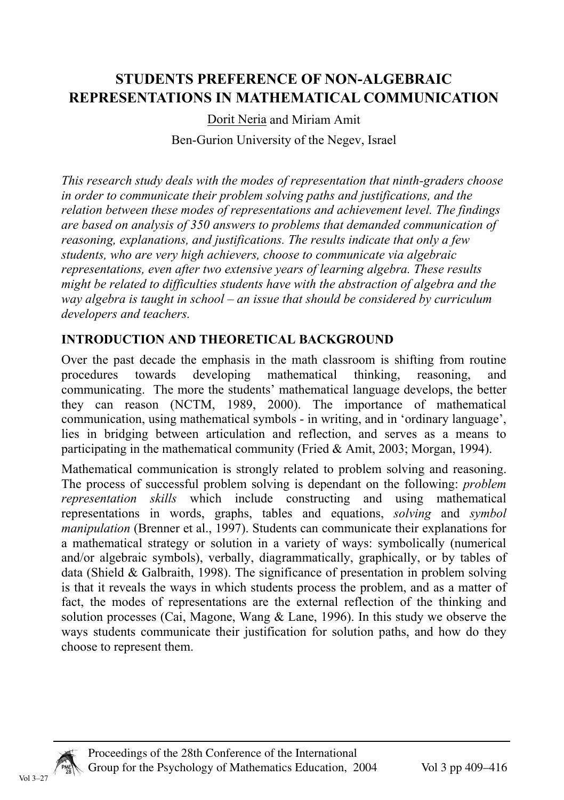# **STUDENTS PREFERENCE OF NON-ALGEBRAIC REPRESENTATIONS IN MATHEMATICAL COMMUNICATION**

Dorit Neria and Miriam Amit Ben-Gurion University of the Negev, Israel

*This research study deals with the modes of representation that ninth-graders choose in order to communicate their problem solving paths and justifications, and the relation between these modes of representations and achievement level. The findings are based on analysis of 350 answers to problems that demanded communication of reasoning, explanations, and justifications. The results indicate that only a few students, who are very high achievers, choose to communicate via algebraic representations, even after two extensive years of learning algebra. These results might be related to difficulties students have with the abstraction of algebra and the way algebra is taught in school – an issue that should be considered by curriculum developers and teachers.* 

# **INTRODUCTION AND THEORETICAL BACKGROUND**

Over the past decade the emphasis in the math classroom is shifting from routine procedures towards developing mathematical thinking, reasoning, and procedures towards developing mathematical thinking, reasoning, and communicating. The more the students' mathematical language develops, the better they can reason (NCTM, 1989, 2000). The importance of mathematical communication, using mathematical symbols - in writing, and in 'ordinary language', lies in bridging between articulation and reflection, and serves as a means to participating in the mathematical community (Fried & Amit, 2003; Morgan, 1994).

Mathematical communication is strongly related to problem solving and reasoning. The process of successful problem solving is dependant on the following: *problem representation skills* which include constructing and using mathematical representations in words, graphs, tables and equations, *solving* and *symbol manipulation* (Brenner et al., 1997). Students can communicate their explanations for a mathematical strategy or solution in a variety of ways: symbolically (numerical and/or algebraic symbols), verbally, diagrammatically, graphically, or by tables of data (Shield & Galbraith, 1998). The significance of presentation in problem solving is that it reveals the ways in which students process the problem, and as a matter of fact, the modes of representations are the external reflection of the thinking and solution processes (Cai, Magone, Wang & Lane, 1996). In this study we observe the ways students communicate their justification for solution paths, and how do they choose to represent them.

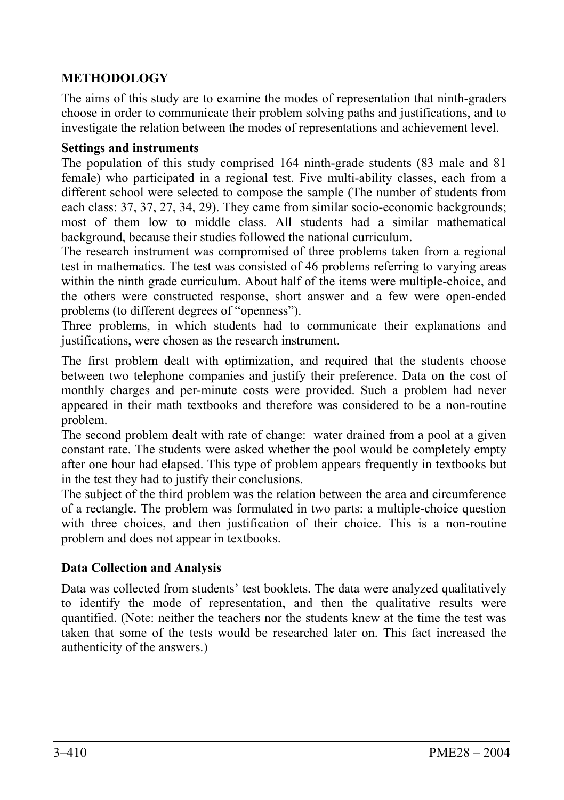# **METHODOLOGY**

The aims of this study are to examine the modes of representation that ninth-graders choose in order to communicate their problem solving paths and justifications, and to investigate the relation between the modes of representations and achievement level.

#### **Settings and instruments**

The population of this study comprised 164 ninth-grade students (83 male and 81 female) who participated in a regional test. Five multi-ability classes, each from a different school were selected to compose the sample (The number of students from each class: 37, 37, 27, 34, 29). They came from similar socio-economic backgrounds; most of them low to middle class. All students had a similar mathematical background, because their studies followed the national curriculum.

The research instrument was compromised of three problems taken from a regional test in mathematics. The test was consisted of 46 problems referring to varying areas within the ninth grade curriculum. About half of the items were multiple-choice, and the others were constructed response, short answer and a few were open-ended problems (to different degrees of "openness").

Three problems, in which students had to communicate their explanations and justifications, were chosen as the research instrument.

The first problem dealt with optimization, and required that the students choose between two telephone companies and justify their preference. Data on the cost of monthly charges and per-minute costs were provided. Such a problem had never appeared in their math textbooks and therefore was considered to be a non-routine problem.

The second problem dealt with rate of change: water drained from a pool at a given constant rate. The students were asked whether the pool would be completely empty after one hour had elapsed. This type of problem appears frequently in textbooks but in the test they had to justify their conclusions.

The subject of the third problem was the relation between the area and circumference of a rectangle. The problem was formulated in two parts: a multiple-choice question with three choices, and then justification of their choice. This is a non-routine problem and does not appear in textbooks.

# **Data Collection and Analysis**

Data was collected from students' test booklets. The data were analyzed qualitatively to identify the mode of representation, and then the qualitative results were quantified. (Note: neither the teachers nor the students knew at the time the test was taken that some of the tests would be researched later on. This fact increased the authenticity of the answers.)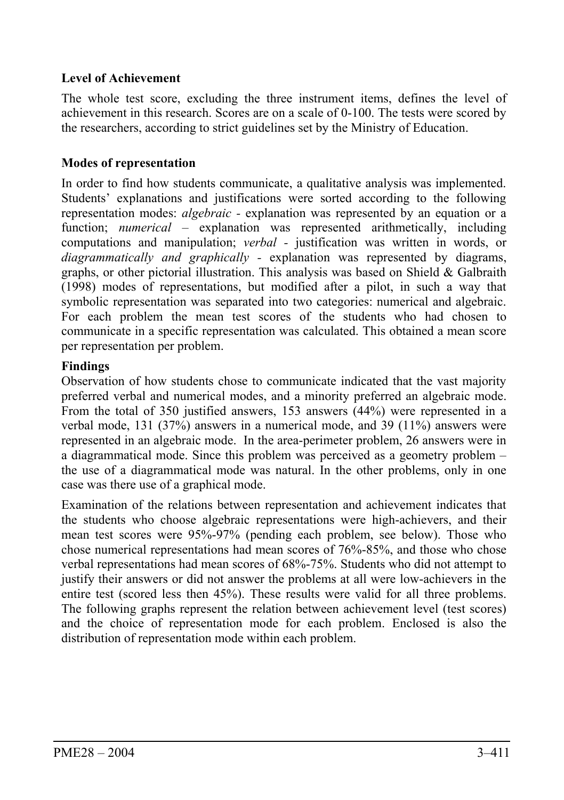### **Level of Achievement**

The whole test score, excluding the three instrument items, defines the level of achievement in this research. Scores are on a scale of 0-100. The tests were scored by the researchers, according to strict guidelines set by the Ministry of Education.

# **Modes of representation**

In order to find how students communicate, a qualitative analysis was implemented. Students' explanations and justifications were sorted according to the following representation modes: *algebraic -* explanation was represented by an equation or a function; *numerical –* explanation was represented arithmetically, including computations and manipulation; *verbal -* justification was written in words, or *diagrammatically and graphically -* explanation was represented by diagrams, graphs, or other pictorial illustration. This analysis was based on Shield  $\&$  Galbraith (1998) modes of representations, but modified after a pilot, in such a way that symbolic representation was separated into two categories: numerical and algebraic. For each problem the mean test scores of the students who had chosen to communicate in a specific representation was calculated. This obtained a mean score per representation per problem.

#### **Findings**

Observation of how students chose to communicate indicated that the vast majority preferred verbal and numerical modes, and a minority preferred an algebraic mode. From the total of 350 justified answers, 153 answers (44%) were represented in a verbal mode, 131 (37%) answers in a numerical mode, and 39 (11%) answers were represented in an algebraic mode. In the area-perimeter problem, 26 answers were in a diagrammatical mode. Since this problem was perceived as a geometry problem – the use of a diagrammatical mode was natural. In the other problems, only in one case was there use of a graphical mode.

Examination of the relations between representation and achievement indicates that the students who choose algebraic representations were high-achievers, and their mean test scores were 95%-97% (pending each problem, see below). Those who chose numerical representations had mean scores of 76%-85%, and those who chose verbal representations had mean scores of 68%-75%. Students who did not attempt to justify their answers or did not answer the problems at all were low-achievers in the entire test (scored less then 45%). These results were valid for all three problems. The following graphs represent the relation between achievement level (test scores) and the choice of representation mode for each problem. Enclosed is also the distribution of representation mode within each problem.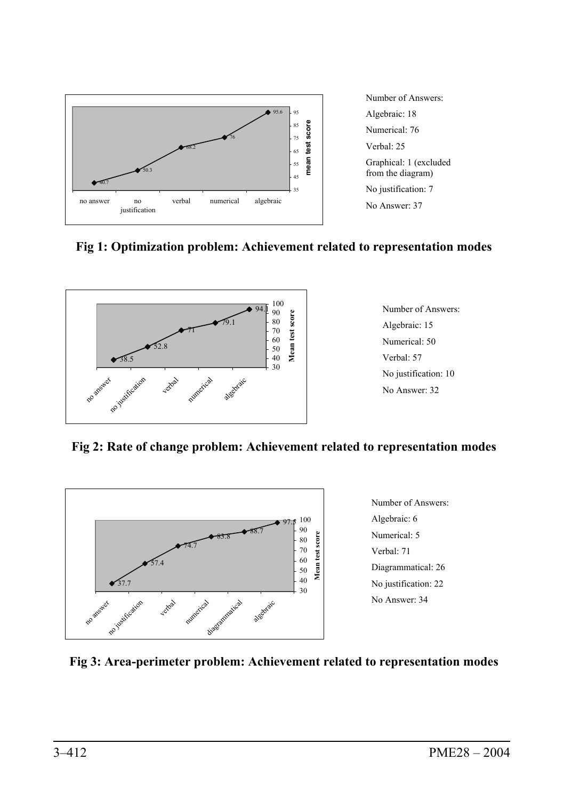

Number of Answers: Algebraic: 18 Numerical: 76 Verbal: 25 Graphical: 1 (excluded from the diagram) No justification: 7 No Answer: 37

# **Fig 1: Optimization problem: Achievement related to representation modes**



Number of Answers: Algebraic: 15 Numerical: 50 Verbal: 57 No justification: 10 No Answer: 32

**Fig 2: Rate of change problem: Achievement related to representation modes** 



Number of Answers: Algebraic: 6 Numerical: 5 Verbal: 71 Diagrammatical: 26 No justification: 22 No Answer: 34

#### **Fig 3: Area-perimeter problem: Achievement related to representation modes**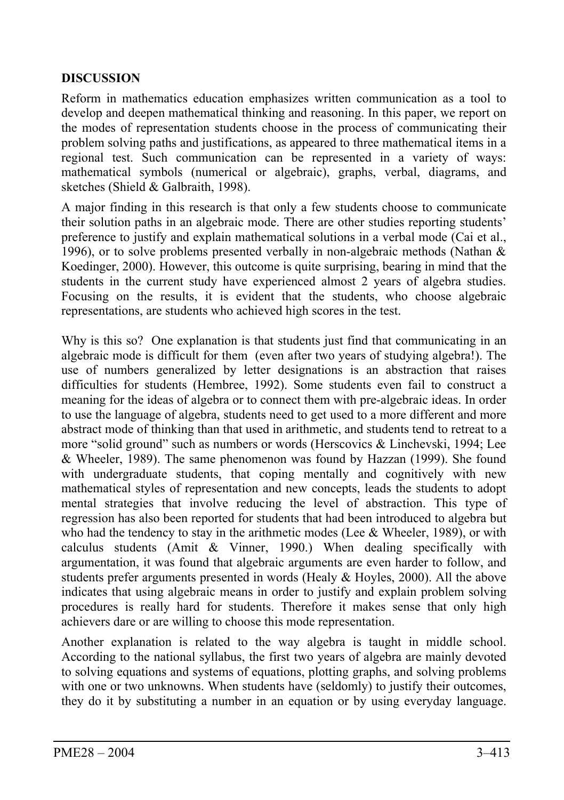### **DISCUSSION**

Reform in mathematics education emphasizes written communication as a tool to develop and deepen mathematical thinking and reasoning. In this paper, we report on the modes of representation students choose in the process of communicating their problem solving paths and justifications, as appeared to three mathematical items in a regional test. Such communication can be represented in a variety of ways: mathematical symbols (numerical or algebraic), graphs, verbal, diagrams, and sketches (Shield & Galbraith, 1998).

A major finding in this research is that only a few students choose to communicate their solution paths in an algebraic mode. There are other studies reporting students' preference to justify and explain mathematical solutions in a verbal mode (Cai et al., 1996), or to solve problems presented verbally in non-algebraic methods (Nathan  $\&$ Koedinger, 2000). However, this outcome is quite surprising, bearing in mind that the students in the current study have experienced almost 2 years of algebra studies. Focusing on the results, it is evident that the students, who choose algebraic representations, are students who achieved high scores in the test.

Why is this so? One explanation is that students just find that communicating in an algebraic mode is difficult for them (even after two years of studying algebra!). The use of numbers generalized by letter designations is an abstraction that raises difficulties for students (Hembree, 1992). Some students even fail to construct a meaning for the ideas of algebra or to connect them with pre-algebraic ideas. In order to use the language of algebra, students need to get used to a more different and more abstract mode of thinking than that used in arithmetic, and students tend to retreat to a more "solid ground" such as numbers or words (Herscovics & Linchevski, 1994; Lee & Wheeler, 1989). The same phenomenon was found by Hazzan (1999). She found with undergraduate students, that coping mentally and cognitively with new mathematical styles of representation and new concepts, leads the students to adopt mental strategies that involve reducing the level of abstraction. This type of regression has also been reported for students that had been introduced to algebra but who had the tendency to stay in the arithmetic modes (Lee & Wheeler, 1989), or with calculus students (Amit & Vinner, 1990.) When dealing specifically with argumentation, it was found that algebraic arguments are even harder to follow, and students prefer arguments presented in words (Healy & Hoyles, 2000). All the above indicates that using algebraic means in order to justify and explain problem solving procedures is really hard for students. Therefore it makes sense that only high achievers dare or are willing to choose this mode representation.

Another explanation is related to the way algebra is taught in middle school. According to the national syllabus, the first two years of algebra are mainly devoted to solving equations and systems of equations, plotting graphs, and solving problems with one or two unknowns. When students have (seldomly) to justify their outcomes, they do it by substituting a number in an equation or by using everyday language.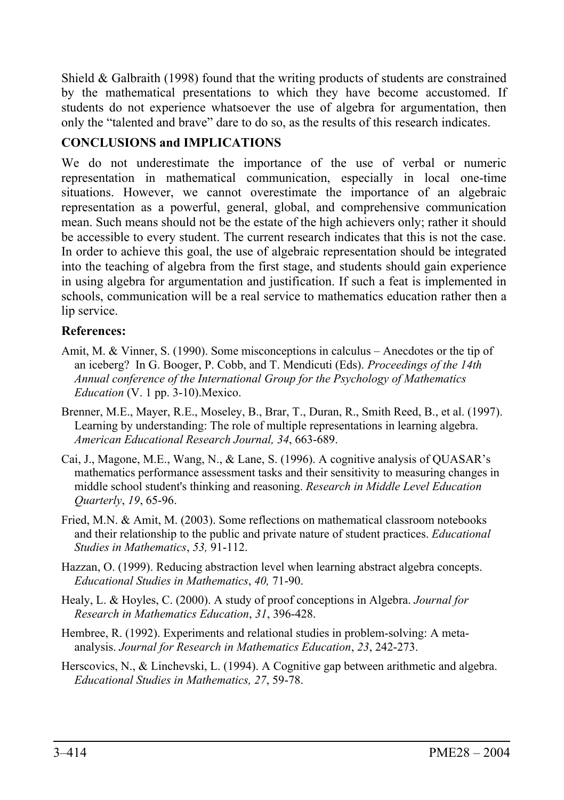Shield  $\&$  Galbraith (1998) found that the writing products of students are constrained by the mathematical presentations to which they have become accustomed. If students do not experience whatsoever the use of algebra for argumentation, then only the "talented and brave" dare to do so, as the results of this research indicates.

# **CONCLUSIONS and IMPLICATIONS**

We do not underestimate the importance of the use of verbal or numeric representation in mathematical communication, especially in local one-time situations. However, we cannot overestimate the importance of an algebraic representation as a powerful, general, global, and comprehensive communication mean. Such means should not be the estate of the high achievers only; rather it should be accessible to every student. The current research indicates that this is not the case. In order to achieve this goal, the use of algebraic representation should be integrated into the teaching of algebra from the first stage, and students should gain experience in using algebra for argumentation and justification. If such a feat is implemented in schools, communication will be a real service to mathematics education rather then a lip service.

# **References:**

- Amit, M. & Vinner, S. (1990). Some misconceptions in calculus Anecdotes or the tip of an iceberg? In G. Booger, P. Cobb, and T. Mendicuti (Eds). *Proceedings of the 14th Annual conference of the International Group for the Psychology of Mathematics Education* (V. 1 pp. 3-10).Mexico.
- Brenner, M.E., Mayer, R.E., Moseley, B., Brar, T., Duran, R., Smith Reed, B., et al. (1997). Learning by understanding: The role of multiple representations in learning algebra. *American Educational Research Journal, 34*, 663-689.
- Cai, J., Magone, M.E., Wang, N., & Lane, S. (1996). A cognitive analysis of QUASAR's mathematics performance assessment tasks and their sensitivity to measuring changes in middle school student's thinking and reasoning. *Research in Middle Level Education Quarterly*, *19*, 65-96.
- Fried, M.N. & Amit, M. (2003). Some reflections on mathematical classroom notebooks and their relationship to the public and private nature of student practices. *Educational Studies in Mathematics*, *53,* 91-112.
- Hazzan, O. (1999). Reducing abstraction level when learning abstract algebra concepts. *Educational Studies in Mathematics*, *40,* 71-90.
- Healy, L. & Hoyles, C. (2000). A study of proof conceptions in Algebra. *Journal for Research in Mathematics Education*, *31*, 396-428.
- Hembree, R. (1992). Experiments and relational studies in problem-solving: A metaanalysis. *Journal for Research in Mathematics Education*, *23*, 242-273.
- Herscovics, N., & Linchevski, L. (1994). A Cognitive gap between arithmetic and algebra. *Educational Studies in Mathematics, 27*, 59-78.